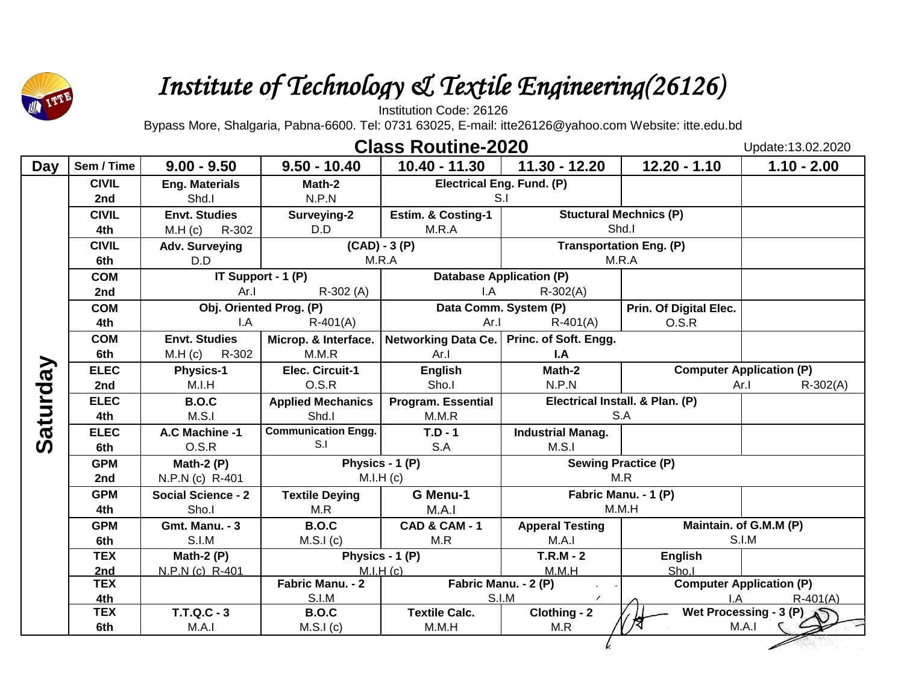

# *Institute of Technology & Textile Engineering(26126)*

Institution Code: 26126

Bypass More, Shalgaria, Pabna-6600. Tel: 0731 63025, E-mail: itte26126@yahoo.com Website: itte.edu.bd

## **Class Routine-2020**

Update:13.02.2020

| Day      | Sem / Time        | $9.00 - 9.50$             | $9.50 - 10.40$             | $10.40 - 11.30$                             | 11.30 - 12.20                   | $12.20 - 1.10$                  | $1.10 - 2.00$                   |
|----------|-------------------|---------------------------|----------------------------|---------------------------------------------|---------------------------------|---------------------------------|---------------------------------|
|          | <b>CIVIL</b>      | <b>Eng. Materials</b>     | Math-2                     | <b>Electrical Eng. Fund. (P)</b>            |                                 |                                 |                                 |
|          | 2nd               | Shd.I                     | N.P.N                      | S.I                                         |                                 |                                 |                                 |
|          | <b>CIVIL</b>      | <b>Envt. Studies</b>      | Surveying-2                | <b>Estim. &amp; Costing-1</b>               |                                 | <b>Stuctural Mechnics (P)</b>   |                                 |
|          | 4th               | M.H (c)<br>R-302          | D.D                        | M.R.A                                       |                                 | Shd.I                           |                                 |
|          | <b>CIVIL</b>      | <b>Adv. Surveying</b>     | $(CAD) - 3(P)$             |                                             |                                 | <b>Transportation Eng. (P)</b>  |                                 |
|          | 6th               | D.D                       |                            | M.R.A                                       |                                 | M.R.A                           |                                 |
|          | <b>COM</b>        |                           | IT Support - 1 (P)         |                                             | <b>Database Application (P)</b> |                                 |                                 |
|          | 2nd               | Ar.1                      | $R-302(A)$                 | I.A                                         | $R - 302(A)$                    |                                 |                                 |
|          | <b>COM</b>        |                           | Obj. Oriented Prog. (P)    |                                             | Data Comm. System (P)           | Prin. Of Digital Elec.          |                                 |
|          | 4th               | I.A                       | $R-401(A)$                 | Ar.1                                        | $R-401(A)$                      | O.S.R                           |                                 |
|          | <b>COM</b>        | <b>Envt. Studies</b>      | Microp. & Interface.       | Networking Data Ce.   Princ. of Soft. Engg. |                                 |                                 |                                 |
|          | 6th               | R-302<br>M.H (c)          | M.M.R                      | Ar.I                                        | I.A                             |                                 |                                 |
|          | <b>ELEC</b>       | <b>Physics-1</b>          | Elec. Circuit-1            | <b>English</b>                              | Math-2                          |                                 | <b>Computer Application (P)</b> |
|          | 2nd               | M.I.H                     | O.S.R                      | Sho.I                                       | N.P.N                           | Ar.I                            | $R - 302(A)$                    |
| Saturday | <b>ELEC</b>       | <b>B.O.C</b>              | <b>Applied Mechanics</b>   | <b>Program. Essential</b>                   |                                 | Electrical Install. & Plan. (P) |                                 |
|          | 4th               | M.S.I                     | Shd.I                      | M.M.R                                       |                                 | S.A                             |                                 |
|          | <b>ELEC</b>       | A.C Machine -1            | <b>Communication Engg.</b> | $T.D - 1$                                   | <b>Industrial Manag.</b>        |                                 |                                 |
|          | 6th               | O.S.R                     | S.I                        | S.A                                         | M.S.1                           |                                 |                                 |
|          | <b>GPM</b>        | Math-2 $(P)$              |                            | Physics - 1 (P)                             | <b>Sewing Practice (P)</b>      |                                 |                                 |
|          | 2nd               | N.P.N (c) R-401           |                            | M.I.H (c)                                   |                                 | M.R                             |                                 |
|          | <b>GPM</b>        | <b>Social Science - 2</b> | <b>Textile Deying</b>      | G Menu-1                                    |                                 | Fabric Manu. - 1 (P)            |                                 |
|          | 4th               | Sho.I                     | M.R                        | M.A.I                                       |                                 | M.M.H                           |                                 |
|          | <b>GPM</b>        | <b>Gmt. Manu. - 3</b>     | <b>B.O.C</b>               | <b>CAD &amp; CAM - 1</b>                    | <b>Apperal Testing</b>          |                                 | Maintain. of G.M.M (P)          |
|          | 6th               | S.I.M                     | M.S.I(c)                   | M.R                                         | M.A.I                           |                                 | S.I.M                           |
|          | <b>TEX</b>        | Math-2 $(P)$              |                            | Physics - 1 (P)<br>M.I.H(C)                 | $T.R.M - 2$                     | <b>English</b><br>Sho.I         |                                 |
|          | 2nd<br><b>TEX</b> | N.P.N (c) R-401           | Fabric Manu. - 2           | Fabric Manu. - 2 (P)                        | M.M.H                           |                                 | <b>Computer Application (P)</b> |
|          | 4th               |                           | S.I.M                      |                                             | S.I.M                           | IΑ                              | $R-401(A)$                      |
|          | <b>TEX</b>        | <b>T.T.Q.C - 3</b>        | <b>B.O.C</b>               | <b>Textile Calc.</b>                        | Clothing - 2                    | Wet Processing - 3 (P)          |                                 |
|          | 6th               | M.A.1                     | M.S.I(c)                   | M.M.H                                       | M.R                             |                                 | M.A.I                           |
|          |                   |                           |                            |                                             |                                 |                                 |                                 |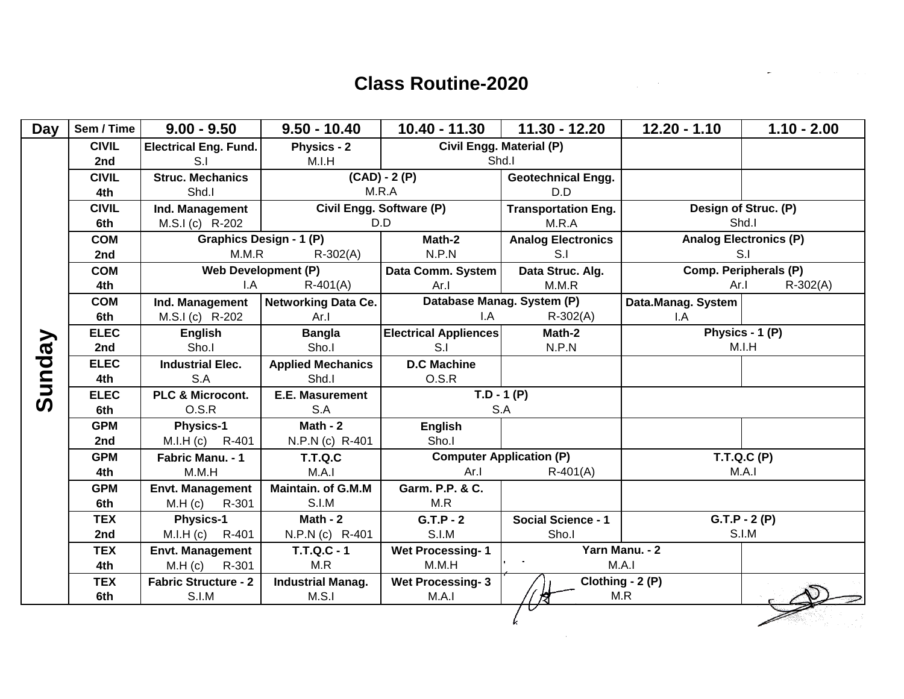$\sim 100$ 

 $\label{eq:2.1} \begin{split} \mathcal{L}_{\text{max}}(\mathbf{r}) & = \mathcal{L}_{\text{max}}(\mathbf{r}) \mathcal{L}_{\text{max}}(\mathbf{r}) \mathcal{L}_{\text{max}}(\mathbf{r}) \mathcal{L}_{\text{max}}(\mathbf{r}) \mathcal{L}_{\text{max}}(\mathbf{r}) \mathcal{L}_{\text{max}}(\mathbf{r}) \mathcal{L}_{\text{max}}(\mathbf{r}) \mathcal{L}_{\text{max}}(\mathbf{r}) \mathcal{L}_{\text{max}}(\mathbf{r}) \mathcal{L}_{\text{max}}(\mathbf{r}) \mathcal{L}_{\text{max}}(\mathbf{r})$ 

 $\overline{\phantom{a}}$ 

| <b>Day</b> | Sem / Time   | $9.00 - 9.50$                | $9.50 - 10.40$             | 10.40 - 11.30                               | $11.30 - 12.20$            | $12.20 - 1.10$     | $1.10 - 2.00$                 |
|------------|--------------|------------------------------|----------------------------|---------------------------------------------|----------------------------|--------------------|-------------------------------|
|            | <b>CIVIL</b> | <b>Electrical Eng. Fund.</b> | <b>Physics - 2</b>         | Civil Engg. Material (P)                    |                            |                    |                               |
|            | 2nd          | S.I                          | M.I.H                      | Shd.I                                       |                            |                    |                               |
|            | <b>CIVIL</b> | <b>Struc. Mechanics</b>      |                            | $(CAD) - 2(P)$<br><b>Geotechnical Engg.</b> |                            |                    |                               |
|            | 4th          | Shd.I                        |                            | M.R.A                                       | D.D                        |                    |                               |
|            | <b>CIVIL</b> | Ind. Management              |                            | Civil Engg. Software (P)                    | <b>Transportation Eng.</b> |                    | Design of Struc. (P)          |
|            | 6th          | M.S.I (c) R-202              |                            | D.D                                         | M.R.A                      | Shd.I              |                               |
|            | <b>COM</b>   |                              | Graphics Design - 1 (P)    | Math-2                                      | <b>Analog Electronics</b>  |                    | <b>Analog Electronics (P)</b> |
|            | 2nd          | M.M.R                        | $R - 302(A)$               | N.P.N                                       | S.I                        |                    | S.I                           |
|            | <b>COM</b>   |                              | <b>Web Development (P)</b> | Data Comm. System                           | Data Struc. Alg.           |                    | Comp. Peripherals (P)         |
|            | 4th          | $\mathsf{I}.\mathsf{A}$      | $R-401(A)$                 | Ar.I                                        | M.M.R                      | Ar.I               | $R - 302(A)$                  |
|            | <b>COM</b>   | Ind. Management              | <b>Networking Data Ce.</b> | Database Manag. System (P)                  |                            | Data.Manag. System |                               |
|            | 6th          | M.S.I (c) R-202              | Ar.I                       | I.A                                         | $R - 302(A)$               | I.A                |                               |
|            | <b>ELEC</b>  | <b>English</b>               | <b>Bangla</b>              | <b>Electrical Appliences</b>                | Math-2                     | Physics - 1 (P)    |                               |
|            | 2nd          | Sho.I                        | Sho.I                      | S.I                                         | N.P.N                      |                    | M.I.H                         |
|            | <b>ELEC</b>  | <b>Industrial Elec.</b>      | <b>Applied Mechanics</b>   | <b>D.C Machine</b>                          |                            |                    |                               |
|            | 4th          | S.A                          | Shd.I                      | O.S.R                                       |                            |                    |                               |
| Sunday     | <b>ELEC</b>  | PLC & Microcont.             | <b>E.E. Masurement</b>     | $\overline{T.D} - 1 (P)$                    |                            |                    |                               |
|            | 6th          | O.S.R                        | S.A                        | S.A                                         |                            |                    |                               |
|            | <b>GPM</b>   | <b>Physics-1</b>             | Math - $2$                 | <b>English</b>                              |                            |                    |                               |
|            | 2nd          | M.I.H (c) R-401              | N.P.N (c) R-401            | Sho.I                                       |                            |                    |                               |
|            | <b>GPM</b>   | Fabric Manu. - 1             | <b>T.T.Q.C</b>             | <b>Computer Application (P)</b>             |                            |                    | T.T.Q.C(P)                    |
|            | 4th          | M.M.H                        | M.A.I                      | Ar.I                                        | $R-401(A)$                 |                    | M.A.I                         |
|            | <b>GPM</b>   | <b>Envt. Management</b>      | Maintain. of G.M.M         | Garm. P.P. & C.                             |                            |                    |                               |
|            | 6th          | M.H (c)<br>R-301             | S.I.M                      | M.R                                         |                            |                    |                               |
|            | <b>TEX</b>   | <b>Physics-1</b>             | Math - 2                   | $G.T.P - 2$                                 | <b>Social Science - 1</b>  |                    | $G.T.P - 2(P)$                |
|            | 2nd          | M.I.H (c) R-401              | N.P.N (c) R-401            | S.I.M                                       | Sho.I                      |                    | S.I.M                         |
|            | <b>TEX</b>   | <b>Envt. Management</b>      | <b>T.T.Q.C - 1</b>         | <b>Wet Processing-1</b>                     |                            | Yarn Manu. - 2     |                               |
|            | 4th          | M.H (c)<br>R-301             | M.R                        | M.M.H                                       |                            | M.A.I              |                               |
|            | <b>TEX</b>   | <b>Fabric Structure - 2</b>  | <b>Industrial Manag.</b>   | <b>Wet Processing-3</b>                     | Clothing - 2 (P)           |                    |                               |
|            | 6th          | S.I.M                        | M.S.1                      | M.A.I                                       |                            | M.R                |                               |
|            |              |                              |                            |                                             |                            |                    |                               |
|            |              |                              |                            |                                             |                            |                    |                               |
|            |              |                              |                            |                                             |                            |                    |                               |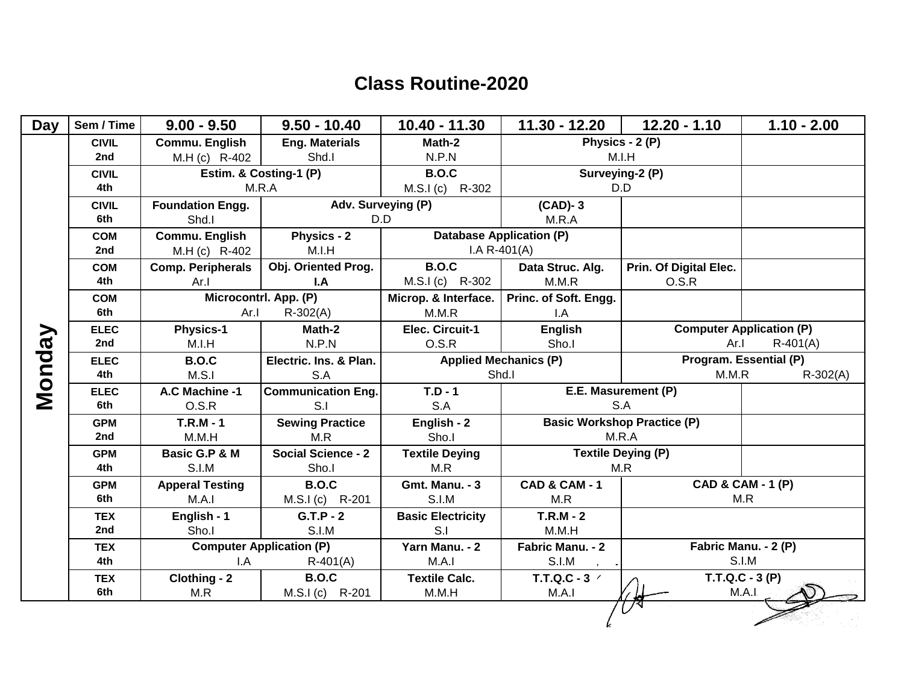| <b>Day</b> | Sem / Time        | $9.00 - 9.50$            | $9.50 - 10.40$                                | 10.40 - 11.30                 | 11.30 - 12.20                      | $12.20 - 1.10$                  | $1.10 - 2.00$                 |
|------------|-------------------|--------------------------|-----------------------------------------------|-------------------------------|------------------------------------|---------------------------------|-------------------------------|
|            | <b>CIVIL</b>      | Commu. English           | <b>Eng. Materials</b>                         | Math-2                        |                                    | Physics - 2 (P)                 |                               |
|            | 2nd               | M.H (c) R-402            | Shd.I                                         | N.P.N                         | M.I.H                              |                                 |                               |
|            | <b>CIVIL</b>      |                          | Estim. & Costing-1 (P)                        | <b>B.O.C</b>                  |                                    | Surveying-2 (P)                 |                               |
|            | 4th               | M.R.A                    |                                               | R-302<br>M.S.I(c)             | D.D                                |                                 |                               |
|            | <b>CIVIL</b>      | <b>Foundation Engg.</b>  | Adv. Surveying (P)                            |                               | $(CAD)-3$                          |                                 |                               |
|            | 6th               | Shd.I                    | D.D                                           |                               | M.R.A                              |                                 |                               |
|            | <b>COM</b>        | Commu. English           | <b>Physics - 2</b>                            |                               | <b>Database Application (P)</b>    |                                 |                               |
|            | 2nd               | M.H (c) R-402            | M.I.H                                         |                               | $I.A R-401(A)$                     |                                 |                               |
|            | <b>COM</b>        | <b>Comp. Peripherals</b> | Obj. Oriented Prog.                           | <b>B.O.C</b>                  | Data Struc. Alg.                   | Prin. Of Digital Elec.          |                               |
|            | 4th               | Ar.1                     | I.A                                           | $M.S.I(c)$ R-302              | M.M.R                              | O.S.R                           |                               |
|            | <b>COM</b>        |                          | Microcontrl. App. (P)                         | Microp. & Interface.          | Princ. of Soft. Engg.              |                                 |                               |
|            | 6th               | Ar.I                     | $R - 302(A)$                                  | M.M.R                         | I.A                                |                                 |                               |
|            | <b>ELEC</b>       | <b>Physics-1</b>         | Math-2                                        | Elec. Circuit-1               | <b>English</b>                     | <b>Computer Application (P)</b> |                               |
|            | 2nd               | M.I.H                    | N.P.N                                         | O.S.R                         | Sho.I                              | Ar.I<br>$R-401(A)$              |                               |
|            | <b>ELEC</b>       | <b>B.O.C</b>             | Electric. Ins. & Plan.                        |                               | <b>Applied Mechanics (P)</b>       |                                 | Program. Essential (P)        |
| Vonday     | 4th               | M.S.I                    | S.A                                           |                               | Shd.I                              | M.M.R<br>$R-302(A)$             |                               |
|            | <b>ELEC</b>       | A.C Machine -1           | <b>Communication Eng.</b>                     | $T.D - 1$                     | E.E. Masurement (P)                |                                 |                               |
|            | 6th               | O.S.R                    | S.I                                           | S.A                           |                                    | S.A                             |                               |
|            | <b>GPM</b>        | $T.R.M - 1$              | <b>Sewing Practice</b>                        | English - 2                   | <b>Basic Workshop Practice (P)</b> |                                 |                               |
|            | 2nd               | M.M.H                    | M.R                                           | Sho.I                         | M.R.A                              |                                 |                               |
|            | <b>GPM</b>        | Basic G.P & M            | <b>Social Science - 2</b>                     | <b>Textile Deying</b>         | <b>Textile Deying (P)</b>          |                                 |                               |
|            | 4th               | S.I.M                    | Sho.I                                         | M.R                           | M.R                                |                                 |                               |
|            | <b>GPM</b>        | <b>Apperal Testing</b>   | <b>B.O.C</b>                                  | <b>Gmt. Manu. - 3</b>         | <b>CAD &amp; CAM - 1</b>           |                                 | CAD & CAM - 1 (P)             |
|            | 6th               | M.A.I                    | M.S.I (c) R-201                               | S.I.M                         | M.R                                |                                 | M.R                           |
|            | <b>TEX</b><br>2nd | English - 1              | $G.T.P - 2$                                   | <b>Basic Electricity</b>      | $T.R.M - 2$                        |                                 |                               |
|            |                   | Sho.I                    | S.I.M                                         | S.I                           | M.M.H                              |                                 |                               |
|            | <b>TEX</b><br>4th | I.A                      | <b>Computer Application (P)</b><br>$R-401(A)$ | Yarn Manu. - 2<br>M.A.I       | Fabric Manu. - 2<br>S.I.M          |                                 | Fabric Manu. - 2 (P)<br>S.I.M |
|            |                   |                          |                                               |                               |                                    |                                 | $\overline{T.T}.Q.C - 3(P)$   |
|            | <b>TEX</b><br>6th | Clothing - 2<br>M.R      | <b>B.O.C</b>                                  | <b>Textile Calc.</b><br>M.M.H | T.T.Q.C - 3 /<br>M.A.I             |                                 | M.A.I                         |
|            |                   |                          | M.S.I (c) R-201                               |                               |                                    |                                 |                               |
|            |                   |                          |                                               |                               |                                    |                                 |                               |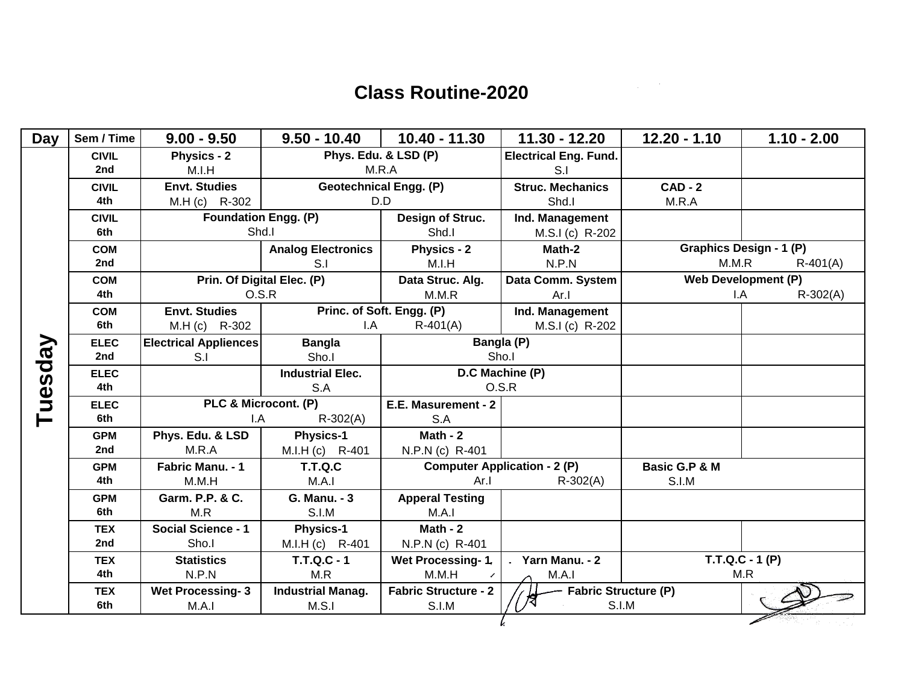$\sim$ 

| <b>Day</b> | Sem / Time        | $9.00 - 9.50$                    | $9.50 - 10.40$                    | 10.40 - 11.30                        | $11.30 - 12.20$                      | $12.20 - 1.10$ | $1.10 - 2.00$              |
|------------|-------------------|----------------------------------|-----------------------------------|--------------------------------------|--------------------------------------|----------------|----------------------------|
|            | <b>CIVIL</b>      | <b>Physics - 2</b>               | Phys. Edu. & LSD (P)              |                                      | <b>Electrical Eng. Fund.</b>         |                |                            |
|            | 2nd               | M.I.H                            |                                   | M.R.A                                | S.I                                  |                |                            |
|            | <b>CIVIL</b>      | <b>Envt. Studies</b>             | <b>Geotechnical Engg. (P)</b>     |                                      | <b>Struc. Mechanics</b>              | $CAD - 2$      |                            |
|            | 4th               | M.H (c) R-302                    |                                   | D.D                                  | Shd.I                                | M.R.A          |                            |
|            | <b>CIVIL</b>      | <b>Foundation Engg. (P)</b>      |                                   | Design of Struc.                     | Ind. Management                      |                |                            |
|            | 6th               | Shd.I                            |                                   | Shd.I                                | M.S.I (c) R-202                      |                |                            |
|            | <b>COM</b>        |                                  | <b>Analog Electronics</b>         | Physics - 2                          | Math-2                               |                | Graphics Design - 1 (P)    |
|            | 2nd               |                                  | S <sub>1</sub>                    | M.I.H                                | N.P.N                                | M.M.R          | $R-401(A)$                 |
|            | <b>COM</b>        | Prin. Of Digital Elec. (P)       |                                   | Data Struc. Alg.                     | Data Comm. System                    |                | <b>Web Development (P)</b> |
|            | 4th               | O.S.R                            |                                   | M.M.R                                | Ar.1                                 | I.A            | $R - 302(A)$               |
|            | <b>COM</b>        | <b>Envt. Studies</b>             |                                   | Princ. of Soft. Engg. (P)            | Ind. Management                      |                |                            |
|            | 6th               | M.H (c) R-302                    | I.A                               | $R-401(A)$                           | M.S.I (c) R-202                      |                |                            |
|            | <b>ELEC</b>       | <b>Electrical Appliences</b>     | <b>Bangla</b>                     |                                      | Bangla (P)                           |                |                            |
|            | 2nd               | S.I                              | Sho.I                             | Sho.I                                |                                      |                |                            |
|            | <b>ELEC</b>       |                                  | <b>Industrial Elec.</b>           | D.C Machine (P)                      |                                      |                |                            |
|            | 4th               |                                  | S.A                               | O.S.R                                |                                      |                |                            |
| Tuesday    | <b>ELEC</b>       | PLC & Microcont. (P)             |                                   | E.E. Masurement - 2                  |                                      |                |                            |
|            | 6th               | $R - 302(A)$<br>I.A              |                                   | S.A                                  |                                      |                |                            |
|            | <b>GPM</b>        | Phys. Edu. & LSD                 | <b>Physics-1</b>                  | Math - $2$                           |                                      |                |                            |
|            | 2nd               | M.R.A                            | M.I.H (c) R-401                   | N.P.N (c) R-401                      |                                      |                |                            |
|            | <b>GPM</b>        | Fabric Manu. - 1                 | <b>T.T.Q.C</b>                    | <b>Computer Application - 2 (P)</b>  |                                      | Basic G.P & M  |                            |
|            | 4th               | M.M.H                            | M.A.I                             | Ar.                                  | $R - 302(A)$                         | <b>S.I.M</b>   |                            |
|            | <b>GPM</b>        | Garm. P.P. & C.                  | <b>G. Manu. - 3</b>               | <b>Apperal Testing</b>               |                                      |                |                            |
|            | 6th               | M.R                              | S.I.M                             | M.A.I                                |                                      |                |                            |
|            | <b>TEX</b>        | <b>Social Science - 1</b>        | <b>Physics-1</b>                  | Math - $2$                           |                                      |                |                            |
|            | 2nd               | Sho.I                            | M.I.H (c) R-401                   | N.P.N (c) R-401                      |                                      |                |                            |
|            | <b>TEX</b><br>4th | <b>Statistics</b>                | <b>T.T.Q.C - 1</b>                | Wet Processing-1.                    | Yarn Manu. - 2                       |                | $T.T.Q.C - 1(P)$           |
|            |                   | N.P.N                            | M.R                               | M.M.H                                | M.A.I                                |                | M.R                        |
|            | <b>TEX</b><br>6th | <b>Wet Processing-3</b><br>M.A.I | <b>Industrial Manag.</b><br>M.S.I | <b>Fabric Structure - 2</b><br>S.I.M | <b>Fabric Structure (P)</b><br>S.I.M |                |                            |
|            |                   |                                  |                                   |                                      |                                      |                |                            |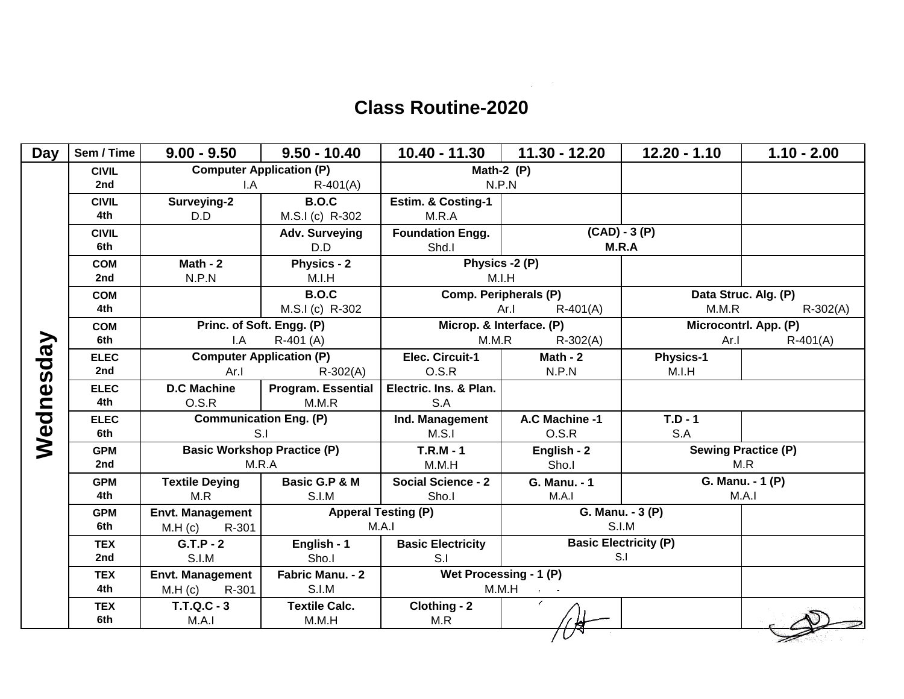$\label{eq:2.1} \frac{1}{\sqrt{2}}\int_{\mathbb{R}^3}\frac{1}{\sqrt{2}}\left(\frac{1}{\sqrt{2}}\right)^2\frac{1}{\sqrt{2}}\left(\frac{1}{\sqrt{2}}\right)^2\frac{1}{\sqrt{2}}\left(\frac{1}{\sqrt{2}}\right)^2\frac{1}{\sqrt{2}}\left(\frac{1}{\sqrt{2}}\right)^2.$ 

| <b>Computer Application (P)</b><br>Math-2 $(P)$<br><b>CIVIL</b><br>2nd<br>N.P.N<br>$R-401(A)$<br>I.A<br><b>B.O.C</b><br>Surveying-2<br><b>Estim. &amp; Costing-1</b><br><b>CIVIL</b><br>4th<br>D.D<br>M.S.I (c) R-302<br>M.R.A<br>$(CAD) - 3(P)$<br><b>CIVIL</b><br>Adv. Surveying<br><b>Foundation Engg.</b><br>6th<br>M.R.A<br>D.D<br>Shd.I<br>Physics - 2<br>Math - $2$<br>Physics -2 (P)<br><b>COM</b><br>2nd<br>N.P.N<br>M.I.H<br>M.I.H<br><b>B.O.C</b><br>Comp. Peripherals (P)<br>Data Struc. Alg. (P)<br><b>COM</b><br>M.S.I (c) R-302<br>M.M.R<br>4th<br>$R - 302(A)$<br>Ar.I<br>$R-401(A)$<br>Microp. & Interface. (P)<br>Princ. of Soft. Engg. (P)<br>Microcontrl. App. (P)<br><b>COM</b><br>Wednesday<br>6th<br>M.M.R<br>$R-401(A)$<br>$\mathsf{I}.\mathsf{A}$<br>$R-401$ (A)<br>$R - 302(A)$<br>Ar.1<br><b>Computer Application (P)</b><br>Elec. Circuit-1<br>Math - $2$<br><b>ELEC</b><br><b>Physics-1</b><br>Ar.1<br>2nd<br>$R - 302(A)$<br>O.S.R<br>N.P.N<br>M.I.H<br><b>D.C Machine</b><br>Program. Essential<br>Electric. Ins. & Plan.<br><b>ELEC</b><br>4th<br>O.S.R<br>M.M.R<br>S.A<br><b>Communication Eng. (P)</b><br>$T.D - 1$<br>Ind. Management<br>A.C Machine -1<br><b>ELEC</b><br>S.I<br>6th<br>O.S.R<br>S.A<br>M.S.1<br><b>Basic Workshop Practice (P)</b><br>$T.R.M - 1$<br><b>Sewing Practice (P)</b><br>English - 2<br><b>GPM</b><br>M.R.A<br>Sho.I<br>M.R<br>M.M.H<br>2nd<br><b>Basic G.P &amp; M</b><br><b>Social Science - 2</b><br>G. Manu. - 1 (P)<br><b>Textile Deying</b><br><b>GPM</b><br>G. Manu. - 1<br>4th<br>M.R<br>S.I.M<br>M.A.1<br>M.A.I<br>Sho.I<br><b>Apperal Testing (P)</b><br>G. Manu. - 3 (P)<br><b>Envt. Management</b><br><b>GPM</b><br>S.I.M<br>6th<br>M.A.I<br>M.H (c)<br>R-301<br><b>Basic Electricity (P)</b><br>$G.T.P - 2$<br>English - 1<br><b>Basic Electricity</b><br><b>TEX</b><br>S.I<br>2nd<br>S.I.M<br>Sho.I<br>S.I<br>Fabric Manu. - 2<br>Wet Processing - 1 (P)<br><b>Envt. Management</b><br><b>TEX</b><br>4th<br>S.I.M<br>M.M.H<br>R-301<br>M.H (c)<br>$\prime$<br><b>Textile Calc.</b><br><b>T.T.Q.C - 3</b><br>Clothing - 2<br><b>TEX</b><br>6th<br>M.A.1<br>M.M.H<br>M.R | <b>Day</b> | Sem / Time | $9.00 - 9.50$ | $9.50 - 10.40$ | 10.40 - 11.30 | 11.30 - 12.20 | $12.20 - 1.10$ | $1.10 - 2.00$ |
|----------------------------------------------------------------------------------------------------------------------------------------------------------------------------------------------------------------------------------------------------------------------------------------------------------------------------------------------------------------------------------------------------------------------------------------------------------------------------------------------------------------------------------------------------------------------------------------------------------------------------------------------------------------------------------------------------------------------------------------------------------------------------------------------------------------------------------------------------------------------------------------------------------------------------------------------------------------------------------------------------------------------------------------------------------------------------------------------------------------------------------------------------------------------------------------------------------------------------------------------------------------------------------------------------------------------------------------------------------------------------------------------------------------------------------------------------------------------------------------------------------------------------------------------------------------------------------------------------------------------------------------------------------------------------------------------------------------------------------------------------------------------------------------------------------------------------------------------------------------------------------------------------------------------------------------------------------------------------------------------------------------------------------------------------------------------------------------------------------------------------------------------------|------------|------------|---------------|----------------|---------------|---------------|----------------|---------------|
|                                                                                                                                                                                                                                                                                                                                                                                                                                                                                                                                                                                                                                                                                                                                                                                                                                                                                                                                                                                                                                                                                                                                                                                                                                                                                                                                                                                                                                                                                                                                                                                                                                                                                                                                                                                                                                                                                                                                                                                                                                                                                                                                                    |            |            |               |                |               |               |                |               |
|                                                                                                                                                                                                                                                                                                                                                                                                                                                                                                                                                                                                                                                                                                                                                                                                                                                                                                                                                                                                                                                                                                                                                                                                                                                                                                                                                                                                                                                                                                                                                                                                                                                                                                                                                                                                                                                                                                                                                                                                                                                                                                                                                    |            |            |               |                |               |               |                |               |
|                                                                                                                                                                                                                                                                                                                                                                                                                                                                                                                                                                                                                                                                                                                                                                                                                                                                                                                                                                                                                                                                                                                                                                                                                                                                                                                                                                                                                                                                                                                                                                                                                                                                                                                                                                                                                                                                                                                                                                                                                                                                                                                                                    |            |            |               |                |               |               |                |               |
|                                                                                                                                                                                                                                                                                                                                                                                                                                                                                                                                                                                                                                                                                                                                                                                                                                                                                                                                                                                                                                                                                                                                                                                                                                                                                                                                                                                                                                                                                                                                                                                                                                                                                                                                                                                                                                                                                                                                                                                                                                                                                                                                                    |            |            |               |                |               |               |                |               |
|                                                                                                                                                                                                                                                                                                                                                                                                                                                                                                                                                                                                                                                                                                                                                                                                                                                                                                                                                                                                                                                                                                                                                                                                                                                                                                                                                                                                                                                                                                                                                                                                                                                                                                                                                                                                                                                                                                                                                                                                                                                                                                                                                    |            |            |               |                |               |               |                |               |
|                                                                                                                                                                                                                                                                                                                                                                                                                                                                                                                                                                                                                                                                                                                                                                                                                                                                                                                                                                                                                                                                                                                                                                                                                                                                                                                                                                                                                                                                                                                                                                                                                                                                                                                                                                                                                                                                                                                                                                                                                                                                                                                                                    |            |            |               |                |               |               |                |               |
|                                                                                                                                                                                                                                                                                                                                                                                                                                                                                                                                                                                                                                                                                                                                                                                                                                                                                                                                                                                                                                                                                                                                                                                                                                                                                                                                                                                                                                                                                                                                                                                                                                                                                                                                                                                                                                                                                                                                                                                                                                                                                                                                                    |            |            |               |                |               |               |                |               |
|                                                                                                                                                                                                                                                                                                                                                                                                                                                                                                                                                                                                                                                                                                                                                                                                                                                                                                                                                                                                                                                                                                                                                                                                                                                                                                                                                                                                                                                                                                                                                                                                                                                                                                                                                                                                                                                                                                                                                                                                                                                                                                                                                    |            |            |               |                |               |               |                |               |
|                                                                                                                                                                                                                                                                                                                                                                                                                                                                                                                                                                                                                                                                                                                                                                                                                                                                                                                                                                                                                                                                                                                                                                                                                                                                                                                                                                                                                                                                                                                                                                                                                                                                                                                                                                                                                                                                                                                                                                                                                                                                                                                                                    |            |            |               |                |               |               |                |               |
|                                                                                                                                                                                                                                                                                                                                                                                                                                                                                                                                                                                                                                                                                                                                                                                                                                                                                                                                                                                                                                                                                                                                                                                                                                                                                                                                                                                                                                                                                                                                                                                                                                                                                                                                                                                                                                                                                                                                                                                                                                                                                                                                                    |            |            |               |                |               |               |                |               |
|                                                                                                                                                                                                                                                                                                                                                                                                                                                                                                                                                                                                                                                                                                                                                                                                                                                                                                                                                                                                                                                                                                                                                                                                                                                                                                                                                                                                                                                                                                                                                                                                                                                                                                                                                                                                                                                                                                                                                                                                                                                                                                                                                    |            |            |               |                |               |               |                |               |
|                                                                                                                                                                                                                                                                                                                                                                                                                                                                                                                                                                                                                                                                                                                                                                                                                                                                                                                                                                                                                                                                                                                                                                                                                                                                                                                                                                                                                                                                                                                                                                                                                                                                                                                                                                                                                                                                                                                                                                                                                                                                                                                                                    |            |            |               |                |               |               |                |               |
|                                                                                                                                                                                                                                                                                                                                                                                                                                                                                                                                                                                                                                                                                                                                                                                                                                                                                                                                                                                                                                                                                                                                                                                                                                                                                                                                                                                                                                                                                                                                                                                                                                                                                                                                                                                                                                                                                                                                                                                                                                                                                                                                                    |            |            |               |                |               |               |                |               |
|                                                                                                                                                                                                                                                                                                                                                                                                                                                                                                                                                                                                                                                                                                                                                                                                                                                                                                                                                                                                                                                                                                                                                                                                                                                                                                                                                                                                                                                                                                                                                                                                                                                                                                                                                                                                                                                                                                                                                                                                                                                                                                                                                    |            |            |               |                |               |               |                |               |
|                                                                                                                                                                                                                                                                                                                                                                                                                                                                                                                                                                                                                                                                                                                                                                                                                                                                                                                                                                                                                                                                                                                                                                                                                                                                                                                                                                                                                                                                                                                                                                                                                                                                                                                                                                                                                                                                                                                                                                                                                                                                                                                                                    |            |            |               |                |               |               |                |               |
|                                                                                                                                                                                                                                                                                                                                                                                                                                                                                                                                                                                                                                                                                                                                                                                                                                                                                                                                                                                                                                                                                                                                                                                                                                                                                                                                                                                                                                                                                                                                                                                                                                                                                                                                                                                                                                                                                                                                                                                                                                                                                                                                                    |            |            |               |                |               |               |                |               |
|                                                                                                                                                                                                                                                                                                                                                                                                                                                                                                                                                                                                                                                                                                                                                                                                                                                                                                                                                                                                                                                                                                                                                                                                                                                                                                                                                                                                                                                                                                                                                                                                                                                                                                                                                                                                                                                                                                                                                                                                                                                                                                                                                    |            |            |               |                |               |               |                |               |
|                                                                                                                                                                                                                                                                                                                                                                                                                                                                                                                                                                                                                                                                                                                                                                                                                                                                                                                                                                                                                                                                                                                                                                                                                                                                                                                                                                                                                                                                                                                                                                                                                                                                                                                                                                                                                                                                                                                                                                                                                                                                                                                                                    |            |            |               |                |               |               |                |               |
|                                                                                                                                                                                                                                                                                                                                                                                                                                                                                                                                                                                                                                                                                                                                                                                                                                                                                                                                                                                                                                                                                                                                                                                                                                                                                                                                                                                                                                                                                                                                                                                                                                                                                                                                                                                                                                                                                                                                                                                                                                                                                                                                                    |            |            |               |                |               |               |                |               |
|                                                                                                                                                                                                                                                                                                                                                                                                                                                                                                                                                                                                                                                                                                                                                                                                                                                                                                                                                                                                                                                                                                                                                                                                                                                                                                                                                                                                                                                                                                                                                                                                                                                                                                                                                                                                                                                                                                                                                                                                                                                                                                                                                    |            |            |               |                |               |               |                |               |
|                                                                                                                                                                                                                                                                                                                                                                                                                                                                                                                                                                                                                                                                                                                                                                                                                                                                                                                                                                                                                                                                                                                                                                                                                                                                                                                                                                                                                                                                                                                                                                                                                                                                                                                                                                                                                                                                                                                                                                                                                                                                                                                                                    |            |            |               |                |               |               |                |               |
|                                                                                                                                                                                                                                                                                                                                                                                                                                                                                                                                                                                                                                                                                                                                                                                                                                                                                                                                                                                                                                                                                                                                                                                                                                                                                                                                                                                                                                                                                                                                                                                                                                                                                                                                                                                                                                                                                                                                                                                                                                                                                                                                                    |            |            |               |                |               |               |                |               |
|                                                                                                                                                                                                                                                                                                                                                                                                                                                                                                                                                                                                                                                                                                                                                                                                                                                                                                                                                                                                                                                                                                                                                                                                                                                                                                                                                                                                                                                                                                                                                                                                                                                                                                                                                                                                                                                                                                                                                                                                                                                                                                                                                    |            |            |               |                |               |               |                |               |
|                                                                                                                                                                                                                                                                                                                                                                                                                                                                                                                                                                                                                                                                                                                                                                                                                                                                                                                                                                                                                                                                                                                                                                                                                                                                                                                                                                                                                                                                                                                                                                                                                                                                                                                                                                                                                                                                                                                                                                                                                                                                                                                                                    |            |            |               |                |               |               |                |               |
|                                                                                                                                                                                                                                                                                                                                                                                                                                                                                                                                                                                                                                                                                                                                                                                                                                                                                                                                                                                                                                                                                                                                                                                                                                                                                                                                                                                                                                                                                                                                                                                                                                                                                                                                                                                                                                                                                                                                                                                                                                                                                                                                                    |            |            |               |                |               |               |                |               |
|                                                                                                                                                                                                                                                                                                                                                                                                                                                                                                                                                                                                                                                                                                                                                                                                                                                                                                                                                                                                                                                                                                                                                                                                                                                                                                                                                                                                                                                                                                                                                                                                                                                                                                                                                                                                                                                                                                                                                                                                                                                                                                                                                    |            |            |               |                |               |               |                |               |
|                                                                                                                                                                                                                                                                                                                                                                                                                                                                                                                                                                                                                                                                                                                                                                                                                                                                                                                                                                                                                                                                                                                                                                                                                                                                                                                                                                                                                                                                                                                                                                                                                                                                                                                                                                                                                                                                                                                                                                                                                                                                                                                                                    |            |            |               |                |               |               |                |               |
|                                                                                                                                                                                                                                                                                                                                                                                                                                                                                                                                                                                                                                                                                                                                                                                                                                                                                                                                                                                                                                                                                                                                                                                                                                                                                                                                                                                                                                                                                                                                                                                                                                                                                                                                                                                                                                                                                                                                                                                                                                                                                                                                                    |            |            |               |                |               |               |                |               |
|                                                                                                                                                                                                                                                                                                                                                                                                                                                                                                                                                                                                                                                                                                                                                                                                                                                                                                                                                                                                                                                                                                                                                                                                                                                                                                                                                                                                                                                                                                                                                                                                                                                                                                                                                                                                                                                                                                                                                                                                                                                                                                                                                    |            |            |               |                |               |               |                |               |
|                                                                                                                                                                                                                                                                                                                                                                                                                                                                                                                                                                                                                                                                                                                                                                                                                                                                                                                                                                                                                                                                                                                                                                                                                                                                                                                                                                                                                                                                                                                                                                                                                                                                                                                                                                                                                                                                                                                                                                                                                                                                                                                                                    |            |            |               |                |               |               |                |               |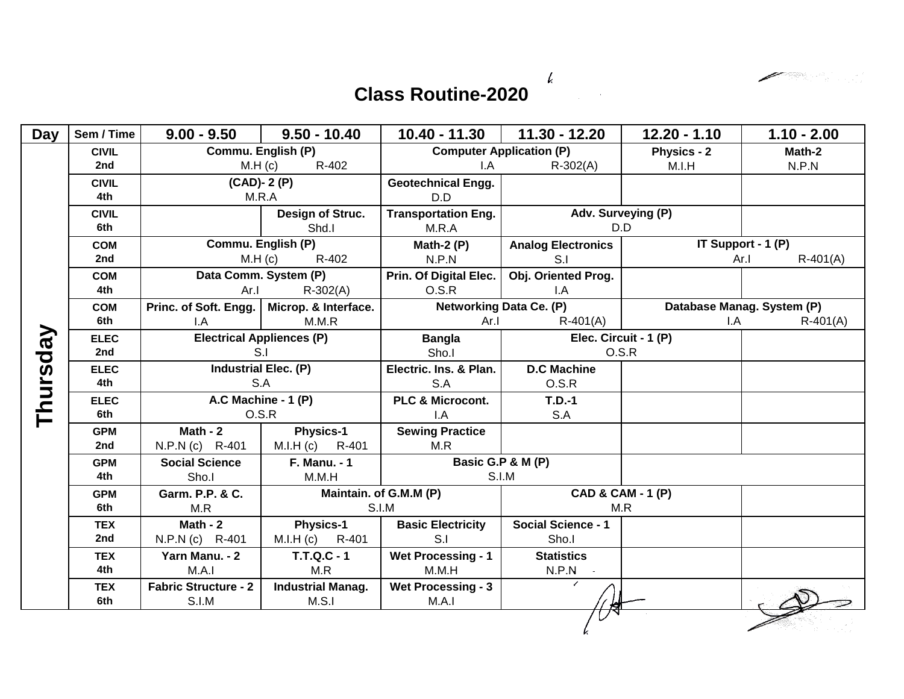$\boldsymbol{l}$ 

 $\diagup$ 

## **Class Routine-2020**

| Day      | Sem / Time        | $9.00 - 9.50$                    | $9.50 - 10.40$                      | $10.40 - 11.30$                 | $11.30 - 12.20$                    | $12.20 - 1.10$     | $1.10 - 2.00$              |
|----------|-------------------|----------------------------------|-------------------------------------|---------------------------------|------------------------------------|--------------------|----------------------------|
|          | <b>CIVIL</b>      |                                  | Commu. English (P)                  | <b>Computer Application (P)</b> |                                    | <b>Physics - 2</b> | Math-2                     |
|          | 2nd               | M.H (c)<br>R-402                 |                                     | $\mathsf{I}.\mathsf{A}$         | $R-302(A)$                         | M.I.H              | N.P.N                      |
|          | <b>CIVIL</b>      |                                  | $(CAD)$ - 2 $(P)$                   | <b>Geotechnical Engg.</b>       |                                    |                    |                            |
|          | 4th               | M.R.A                            |                                     | D.D                             |                                    |                    |                            |
|          | <b>CIVIL</b>      |                                  | Design of Struc.                    | <b>Transportation Eng.</b>      | Adv. Surveying (P)                 |                    |                            |
|          | 6th               |                                  | Shd.I                               | M.R.A                           | D.D                                |                    |                            |
|          | <b>COM</b>        | Commu. English (P)               |                                     | Math-2 $(P)$                    | <b>Analog Electronics</b>          |                    | IT Support - 1 (P)         |
|          | 2nd               | $M.H$ (c)<br>R-402               |                                     | N.P.N                           | S.I                                |                    | $R-401(A)$<br>Ar.I         |
|          | <b>COM</b>        | Data Comm. System (P)            |                                     | Prin. Of Digital Elec.          | Obj. Oriented Prog.                |                    |                            |
|          | 4th               | Ar.                              | $R - 302(A)$                        | O.S.R                           | I.A                                |                    |                            |
|          | <b>COM</b>        | Princ. of Soft. Engg.            | Microp. & Interface.                |                                 | <b>Networking Data Ce. (P)</b>     |                    | Database Manag. System (P) |
|          | 6th               | I.A                              | M.M.R                               | Ar.I                            | $R-401(A)$                         | I.A                | $R-401(A)$                 |
|          | <b>ELEC</b>       | <b>Electrical Appliences (P)</b> |                                     | <b>Bangla</b>                   | Elec. Circuit - 1 (P)              |                    |                            |
|          | 2nd               | S.I                              |                                     | Sho.I                           | O.S.R                              |                    |                            |
|          | <b>ELEC</b>       | Industrial Elec. (P)             |                                     | Electric. Ins. & Plan.          | <b>D.C Machine</b>                 |                    |                            |
| Thursday | 4th               | S.A                              |                                     | S.A                             | O.S.R                              |                    |                            |
|          | <b>ELEC</b>       | A.C Machine - 1 (P)              |                                     | PLC & Microcont.                | $T.D.-1$                           |                    |                            |
|          | 6th               | O.S.R                            |                                     | I.A                             | S.A                                |                    |                            |
|          | <b>GPM</b>        | Math - $2$                       | <b>Physics-1</b>                    | <b>Sewing Practice</b>          |                                    |                    |                            |
|          | 2nd               | N.P.N (c) R-401                  | M.I.H (c) R-401                     | M.R                             |                                    |                    |                            |
|          | <b>GPM</b>        | <b>Social Science</b>            | <b>F. Manu. - 1</b>                 |                                 | Basic G.P & M (P)                  |                    |                            |
|          | 4th               | Sho.I                            | M.M.H                               |                                 | S.I.M                              |                    |                            |
|          | <b>GPM</b><br>6th | Garm. P.P. & C.<br>M.R           |                                     | Maintain. of G.M.M (P)<br>S.I.M | CAD & CAM - 1 (P)<br>M.R           |                    |                            |
|          |                   |                                  |                                     |                                 |                                    |                    |                            |
|          | <b>TEX</b><br>2nd | Math - $2$<br>N.P.N (c) R-401    | <b>Physics-1</b><br>M.I.H (c) R-401 | <b>Basic Electricity</b><br>S.I | <b>Social Science - 1</b><br>Sho.I |                    |                            |
|          | <b>TEX</b>        | Yarn Manu. - 2                   | <b>T.T.Q.C - 1</b>                  | <b>Wet Processing - 1</b>       | <b>Statistics</b>                  |                    |                            |
|          | 4th               | M.A.1                            | M.R                                 | M.M.H                           | $N.P.N$ -                          |                    |                            |
|          | <b>TEX</b>        | <b>Fabric Structure - 2</b>      | <b>Industrial Manag.</b>            | <b>Wet Processing - 3</b>       |                                    |                    |                            |
|          | 6th               | S.I.M                            | M.S.1                               | M.A.I                           |                                    |                    |                            |
|          |                   |                                  |                                     |                                 |                                    |                    |                            |
|          |                   |                                  |                                     |                                 |                                    |                    |                            |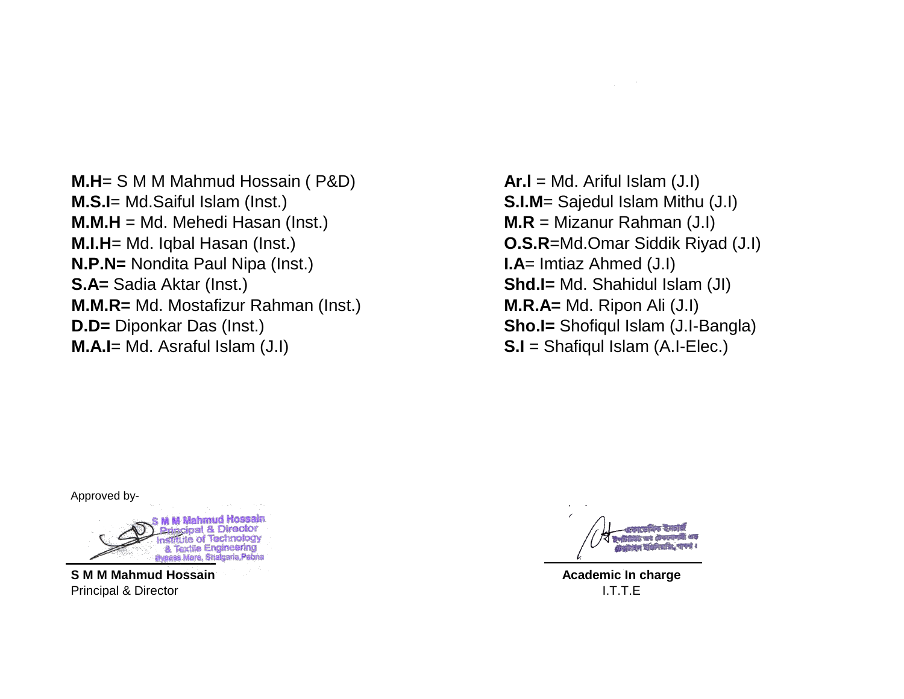**M.H**= S M M Mahmud Hossain ( P&D) **Ar.l** = Md. Ariful Islam (J.I) **M.S.I**= Md.Saiful Islam (Inst.) **S.I.M**= Sajedul Islam Mithu (J.I) **M.M.H** = Md. Mehedi Hasan (Inst.) **M.R** = Mizanur Rahman (J.I) **M.I.H**= Md. Iqbal Hasan (Inst.) **O.S.R**=Md.Omar Siddik Riyad (J.I) **N.P.N=** Nondita Paul Nipa (Inst.) **I.A**= Imtiaz Ahmed (J.I) **S.A=** Sadia Aktar (Inst.) **Shd.I=** Md. Shahidul Islam (JI) **M.M.R=** Md. Mostafizur Rahman (Inst.) **M.R.A=** Md. Ripon Ali (J.I) **D.D=** Diponkar Das (Inst.) **Sho.I=** Shofiqul Islam (J.I-Bangla) **M.A.I**= Md. Asraful Islam (J.I) **S.I** = Shafiqul Islam (A.I-Elec.)

Approved by-



**S M M Mahmud Hossain** Principal & Director

**CONTRACTOR** ষ্টভাৱিটিউট আৰ টেকলে strew elements, nr

**Academic In charge** I.T.T.E